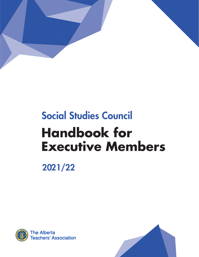

# Social Studies Council **Handbook for Executive Members**

2021/22



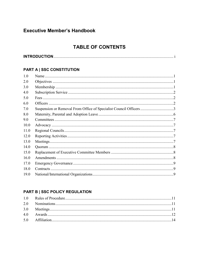## **Executive Member's Handbook**

## **TABLE OF CONTENTS**

|--|

### **PART A | SSC CONSTITUTION**

| 1.0  |                                                                   |  |
|------|-------------------------------------------------------------------|--|
| 2.0  |                                                                   |  |
| 3.0  |                                                                   |  |
| 4.0  |                                                                   |  |
| 5.0  |                                                                   |  |
| 6.0  |                                                                   |  |
| 7.0  | Suspension or Removal From Office of Specialist Council Officers3 |  |
| 8.0  |                                                                   |  |
| 9.0  |                                                                   |  |
| 10.0 |                                                                   |  |
| 11.0 |                                                                   |  |
| 12.0 |                                                                   |  |
| 13.0 |                                                                   |  |
| 14.0 |                                                                   |  |
| 15.0 |                                                                   |  |
| 16.0 |                                                                   |  |
| 17.0 |                                                                   |  |
| 18.0 |                                                                   |  |
| 19.0 |                                                                   |  |

## **PART B | SSC POLICY REGULATION**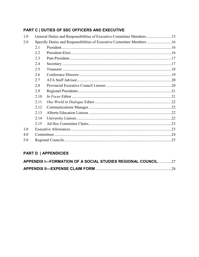## PART C | DUTIES OF SSC OFFICERS AND EXECUTIVE

| 1.0 | General Duties and Responsibilities of Executive Committee Members     |  |  |  |  |
|-----|------------------------------------------------------------------------|--|--|--|--|
| 2.0 | Specific Duties and Responsibilities of Executive Committee Members 16 |  |  |  |  |
|     | 2.1                                                                    |  |  |  |  |
|     | 2.2                                                                    |  |  |  |  |
|     | 2.3                                                                    |  |  |  |  |
|     | 2.4                                                                    |  |  |  |  |
|     | 2.5                                                                    |  |  |  |  |
|     | 2.6                                                                    |  |  |  |  |
|     | 2.7                                                                    |  |  |  |  |
|     | 2.8                                                                    |  |  |  |  |
|     | 2.9                                                                    |  |  |  |  |
|     | 2.10                                                                   |  |  |  |  |
|     | 2.11                                                                   |  |  |  |  |
|     | 2.12                                                                   |  |  |  |  |
|     | 2.13                                                                   |  |  |  |  |
|     | 2.14                                                                   |  |  |  |  |
|     | 2.15                                                                   |  |  |  |  |
| 3.0 |                                                                        |  |  |  |  |
| 4.0 |                                                                        |  |  |  |  |
| 5.0 |                                                                        |  |  |  |  |

## **PART D | APPENDICIES**

| APPENDIX I—FORMATION OF A SOCIAL STUDIES REGIONAL COUNCIL |
|-----------------------------------------------------------|
|                                                           |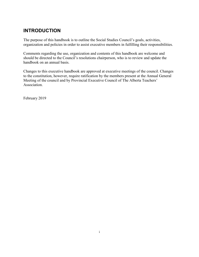## **INTRODUCTION**

The purpose of this handbook is to outline the Social Studies Council's goals, activities, organization and policies in order to assist executive members in fulfilling their responsibilities.

Comments regarding the use, organization and contents of this handbook are welcome and should be directed to the Council's resolutions chairperson, who is to review and update the handbook on an annual basis.

Changes to this executive handbook are approved at executive meetings of the council. Changes to the constitution, however, require ratification by the members present at the Annual General Meeting of the council and by Provincial Executive Council of The Alberta Teachers' Association.

February 2019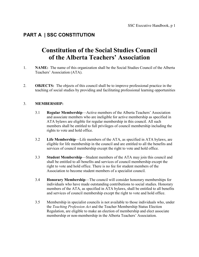## **PART A | SSC CONSTITUTION**

## **Constitution of the Social Studies Council of the Alberta Teachers' Association**

- 1. **NAME:** The name of this organization shall be the Social Studies Council of the Alberta Teachers' Association (ATA).
- 2. **OBJECTS:** The objects of this council shall be to improve professional practice in the teaching of social studies by providing and facilitating professional learning opportunities

#### 3. **MEMBERSHIP:**

- 3.1 **Regular Membership**—Active members of the Alberta Teachers' Association and associate members who are ineligible for active membership as specified in ATA bylaws are eligible for regular membership in this council. All such members shall be entitled to full privileges of council membership including the rights to vote and hold office.
- 3.2 **Life Membership**—Life members of the ATA, as specified in ATA bylaws, are eligible for life membership in the council and are entitled to all the benefits and services of council membership except the right to vote and hold office.
- 3.3 **Student Membership**—Student members of the ATA may join this council and shall be entitled to all benefits and services of council membership except the right to vote and hold office. There is no fee for student members of the Association to become student members of a specialist council.
- 3.4 **Honorary Membership**—The council will consider honorary memberships for individuals who have made outstanding contributions to social studies. Honorary members of the ATA, as specified in ATA bylaws, shall be entitled to all benefits and services of council membership except the right to vote and hold office.
- 3.5 Membership in specialist councils is not available to those individuals who, under the *Teaching Profession Act* and the Teacher Membership Status Election Regulation, are eligible to make an election of membership and elect associate membership or non-membership in the Alberta Teachers' Association.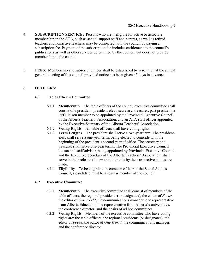- 4. **SUBSCRIPTION SERVICE:** Persons who are ineligible for active or associate membership in the ATA, such as school support staff and parents, as well as retired teachers and nonactive teachers, may be connected with the council by paying a subscription fee. Payment of the subscription fee includes entitlement to the council's publications as well as other services determined by the council, but does not provide membership in the council.
- 5. **FEES:** Membership and subscription fees shall be established by resolution at the annual general meeting of this council provided notice has been given 45 days in advance.

#### 6. **OFFICERS:**

#### 6.1 **Table Officers Committee**

- 6.1.1 **Membership**—The table officers of the council executive committee shall consist of a president, president-elect, secretary, treasurer, past president, a PEC liaison member to be appointed by the Provincial Executive Council of the Alberta Teachers' Association, and an ATA staff officer appointed by the Executive Secretary of the Alberta Teachers' Association.
- 6.1.2 **Voting Rights**—All table officers shall have voting rights.
- 6.1.3 **Term Lengths**—The president shall serve a two-year term. The presidentelect shall serve a one-year term, being elected to coincide with the beginning of the president's second year of office. The secretary and treasurer shall serve one-year terms. The Provincial Executive Council liaison and staff advisor, being appointed by Provincial Executive Council and the Executive Secretary of the Alberta Teachers' Association, shall serve in their roles until new appointments by their respective bodies are made.
- 6.1.4 **Eligibility**—To be eligible to become an officer of the Social Studies Council, a candidate must be a regular member of the council.

#### 6.2 **Executive Committee**

- 6.2.1 **Membership**—The executive committee shall consist of members of the table officers, the regional presidents (or designates), the editor of *Focus*, the editor of *One World*, the communications manager, one representative from Alberta Education, one representative from Alberta's universities, the conference director, and the chairs of ad hoc committees.
- 6.2.2 **Voting Rights**—Members of the executive committee who have voting rights are: the table officers, the regional presidents (or designates), the editor of *Focus*, the editor of *One World*, the communications manager, and the conference director.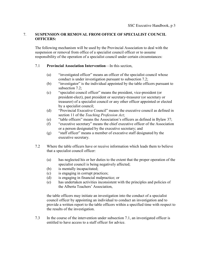#### 7. **SUSPENSION OR REMOVAL FROM OFFICE OF SPECIALIST COUNCIL OFFICERS:**

The following mechanism will be used by the Provincial Association to deal with the suspension or removal from office of a specialist council officer or to assume responsibility of the operation of a specialist council under certain circumstances:

#### 7.1 **Provincial Association Intervention**—In this section,

- (a) "investigated officer" means an officer of the specialist council whose conduct is under investigation pursuant to subsection 7.2;
- (b) "investigator" is the individual appointed by the table officers pursuant to subsection 7.2;
- (c) "specialist council officer" means the president, vice-president (or president-elect), past president or secretary-treasurer (or secretary or treasurer) of a specialist council or any other officer appointed or elected by a specialist council;
- (d) "Provincial Executive Council" means the executive council as defined in section 11 of the *Teaching Profession Act*;
- (e) "table officers" means the Association's officers as defined in Bylaw 37;
- (f) "executive secretary" means the chief executive officer of the Association or a person designated by the executive secretary; and
- (g) "staff officer" means a member of executive staff designated by the executive secretary.
- 7.2 Where the table officers have or receive information which leads them to believe that a specialist council officer:
	- (a) has neglected his or her duties to the extent that the proper operation of the specialist council is being negatively affected;
	- (b) is mentally incapacitated;
	- (c) is engaging in corrupt practices;
	- (d) is engaging in financial malpractice; or
	- (e) has undertaken activities inconsistent with the principles and policies of the Alberta Teachers' Association,

the table officers may initiate an investigation into the conduct of a specialist council officer by appointing an individual to conduct an investigation and to provide a written report to the table officers within a specified time with respect to the results of the investigation.

7.3 In the course of the intervention under subsection 7.1, an investigated officer is entitled to have access to a staff officer for advice.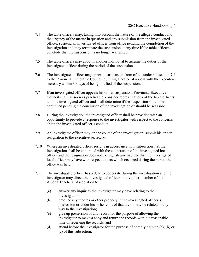- 7.4 The table officers may, taking into account the nature of the alleged conduct and the urgency of the matter in question and any submission from the investigated officer, suspend an investigated officer from office pending the completion of the investigation and may terminate the suspension at any time if the table officers conclude that the suspension is no longer warranted.
- 7.5 The table officers may appoint another individual to assume the duties of the investigated officer during the period of the suspension.
- 7.6 The investigated officer may appeal a suspension from office under subsection 7.4 to the Provincial Executive Council by filing a notice of appeal with the executive secretary within 30 days of being notified of the suspension.
- 7.7 If an investigated officer appeals his or her suspension, Provincial Executive Council shall, as soon as practicable, consider representations of the table officers and the investigated officer and shall determine if the suspension should be continued pending the conclusion of the investigation or should be set aside.
- 7.8 During the investigation the investigated officer shall be provided with an opportunity to provide a response to the investigator with respect to the concerns about the investigated officer's conduct.
- 7.9 An investigated officer may, in the course of the investigation, submit his or her resignation to the executive secretary.
- 7.10 Where an investigated officer resigns in accordance with subsection 7.9, the investigation shall be continued with the cooperation of the investigated local officer and the resignation does not extinguish any liability that the investigated local officer may have with respect to acts which occurred during the period the office was held.
- 7.11 The investigated officer has a duty to cooperate during the investigation and the investigator may direct the investigated officer or any other member of the Alberta Teachers' Association to:
	- (a) answer any inquiries the investigator may have relating to the investigation;
	- (b) produce any records or other property in the investigated officer's possession or under his or her control that are or may be related in any way to the investigation;
	- (c) give up possession of any record for the purpose of allowing the investigator to make a copy and return the records within a reasonable time of receiving the records; and
	- (d) attend before the investigator for the purpose of complying with (a), (b) or (c) of this subsection.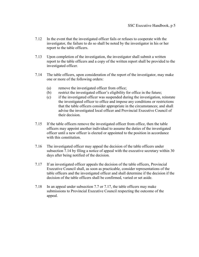- 7.12 In the event that the investigated officer fails or refuses to cooperate with the investigator, the failure to do so shall be noted by the investigator in his or her report to the table officers.
- 7.13 Upon completion of the investigation, the investigator shall submit a written report to the table officers and a copy of the written report shall be provided to the investigated officer.
- 7.14 The table officers, upon consideration of the report of the investigator, may make one or more of the following orders:
	- (a) remove the investigated officer from office;
	- (b) restrict the investigated officer's eligibility for office in the future;
	- (c) if the investigated officer was suspended during the investigation, reinstate the investigated officer to office and impose any conditions or restrictions that the table officers consider appropriate in the circumstances; and shall advise the investigated local officer and Provincial Executive Council of their decision.
- 7.15 If the table officers remove the investigated officer from office, then the table officers may appoint another individual to assume the duties of the investigated officer until a new officer is elected or appointed to the position in accordance with this constitution.
- 7.16 The investigated officer may appeal the decision of the table officers under subsection 7.14 by filing a notice of appeal with the executive secretary within 30 days after being notified of the decision.
- 7.17 If an investigated officer appeals the decision of the table officers, Provincial Executive Council shall, as soon as practicable, consider representations of the table officers and the investigated officer and shall determine if the decision if the decision of the table officers shall be confirmed, varied or set aside.
- 7.18 In an appeal under subsection 7.7 or 7.17, the table officers may make submissions to Provincial Executive Council respecting the outcome of the appeal.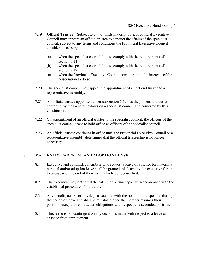- 7.19 **Official Trustee**—Subject to a two-thirds majority vote, Provincial Executive Council may appoint an official trustee to conduct the affairs of the specialist council, subject to any terms and conditions the Provincial Executive Council considers necessary:
	- (a) when the specialist council fails to comply with the requirements of section 7.11;
	- (b) when the specialist council fails to comply with the requirements of section 7.12:
	- (c) when the Provincial Executive Council considers it in the interests of the Association to do so.
- 7.20 The specialist council may appeal the appointment of an official trustee to a representative assembly.
- 7.21 An official trustee appointed under subsection 7.19 has the powers and duties conferred by the General Bylaws on a specialist council and conferred by this constitution.
- 7.22 On appointment of an official trustee to the specialist council, the officers of the specialist council cease to hold office as officers of the specialist council.
- 7.23 An official trustee continues in office until the Provincial Executive Council or a representative assembly determines that the official trusteeship is no longer necessary.

#### 8. **MATERNITY, PARENTAL AND ADOPTION LEAVE:**

- 8.1 Executive and committee members who request a leave of absence for maternity, parental and/or adoption leave shall be granted this leave by the executive for up to one-year or the end of their term, whichever occurs first.
- 8.2 The executive may opt to fill the role in an acting capacity in accordance with the established procedures for that role.
- 8.3 Any benefit, access or privilege associated with the position is suspended during the period of leave and shall be reinstated once the member resumes their position, except for contractual obligations with respect to a seconded position.
- 8.4 This leave is not contingent on any decisions made with respect to a leave of absence from employment.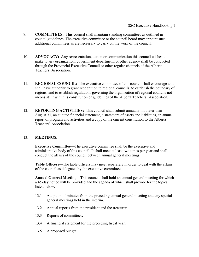- 9. **COMMITTEES:** This council shall maintain standing committees as outlined in council guidelines. The executive committee or the council board may appoint such additional committees as are necessary to carry on the work of the council.
- 10. **ADVOCACY:** Any representation, action or communication this council wishes to make to any organization, government department, or other agency shall be conducted through the Provincial Executive Council or other regular channels of the Alberta Teachers' Association.
- 11. **REGIONAL COUNCIL:** The executive committee of this council shall encourage and shall have authority to grant recognition to regional councils, to establish the boundary of regions, and to establish regulations governing the organization of regional councils not inconsistent with this constitution or guidelines of the Alberta Teachers' Association.
- 12. **REPORTING ACTIVITIES:** This council shall submit annually, not later than August 31, an audited financial statement, a statement of assets and liabilities, an annual report of program and activities and a copy of the current constitution to the Alberta Teachers' Association.

#### 13. **MEETINGS:**

**Executive Committee**—The executive committee shall be the executive and administrative body of this council. It shall meet at least two times per year and shall conduct the affairs of the council between annual general meetings.

**Table Officers**—The table officers may meet separately in order to deal with the affairs of the council as delegated by the executive committee.

**Annual General Meeting**—This council shall hold an annual general meeting for which a 45-day notice will be provided and the agenda of which shall provide for the topics listed below:

- 13.1 Adoption of minutes from the preceding annual general meeting and any special general meetings held in the interim.
- 13.2 Annual reports from the president and the treasurer.
- 13.3 Reports of committees.
- 13.4 A financial statement for the preceding fiscal year.
- 13.5 A proposed budget.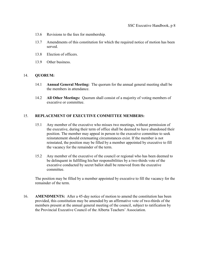- 13.6 Revisions to the fees for membership.
- 13.7 Amendments of this constitution for which the required notice of motion has been served.
- 13.8 Election of officers.
- 13.9 Other business.

#### 14. **QUORUM:**

- 14.1 **Annual General Meeting:** The quorum for the annual general meeting shall be the members in attendance.
- 14.2 **All Other Meetings:** Quorum shall consist of a majority of voting members of executive or committee.

#### 15. **REPLACEMENT OF EXECUTIVE COMMITTEE MEMBERS:**

- 15.1 Any member of the executive who misses two meetings, without permission of the executive, during their term of office shall be deemed to have abandoned their position. The member may appeal in person to the executive committee to seek reinstatement should extenuating circumstances exist. If the member is not reinstated, the position may be filled by a member appointed by executive to fill the vacancy for the remainder of the term.
- 15.2 Any member of the executive of the council or regional who has been deemed to be delinquent in fulfilling his/her responsibilities by a two-thirds vote of the executive conducted by secret ballot shall be removed from the executive committee.

The position may be filled by a member appointed by executive to fill the vacancy for the remainder of the term.

16. **AMENDMENTS:** After a 45-day notice of motion to amend the constitution has been provided, this constitution may be amended by an affirmative vote of two-thirds of the members present at the annual general meeting of the council, subject to ratification by the Provincial Executive Council of the Alberta Teachers' Association.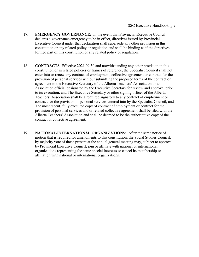- 17. **EMERGENCY GOVERNANCE:** In the event that Provincial Executive Council declares a governance emergency to be in effect, directives issued by Provincial Executive Council under that declaration shall supersede any other provision in this constitution or any related policy or regulation and shall be binding as if the directives formed part of this constitution or any related policy or regulation.
- 18. **CONTRACTS**: Effective 2021 09 30 and notwithstanding any other provision in this constitution or in related policies or frames of reference, the Specialist Council shall not enter into or renew any contract of employment, collective agreement or contract for the provision of personal services without submitting the proposed terms of the contract or agreement to the Executive Secretary of the Alberta Teachers' Association or an Association official designated by the Executive Secretary for review and approval prior to its execution; and The Executive Secretary or other signing officer of the Alberta Teachers' Association shall be a required signatory to any contract of employment or contract for the provision of personal services entered into by the Specialist Council; and The most recent, fully executed copy of contract of employment or contract for the provision of personal services and or related collective agreement shall be filed with the Alberta Teachers' Association and shall be deemed to be the authoritative copy of the contract or collective agreement.
- 19. **NATIONAL/INTERNATIONAL ORGANIZATIONS:** After the same notice of motion that is required for amendments to this constitution, the Social Studies Council, by majority vote of those present at the annual general meeting may, subject to approval by Provincial Executive Council, join or affiliate with national or international organizations representing the same special interests or cancel its membership or affiliation with national or international organizations.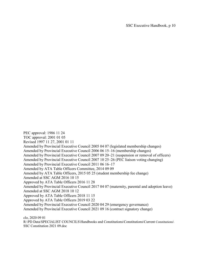SSC Executive Handbook, p 10

PEC approval: 1986 11 24 TOC approval: 2001 01 05 Revised 1997 11 27, 2001 01 11 Amended by Provincial Executive Council 2005 04 07 (legislated membership changes) Amended by Provincial Executive Council 2006 06 15–16 (membership changes) Amended by Provincial Executive Council 2007 09 20–21 (suspension or removal of officers) Amended by Provincial Executive Council 2007 10 25–26 (PEC liaison voting changing) Amended by Provincial Executive Council 2011 06 16–17 Amended by ATA Table Officers Committee, 2014 09 09 Amended by ATA Table Officers, 2015 05 25 (student membership fee change) Amended at SSC AGM 2016 10 15 Approved by ATA Table Officers 2016 11 28 Amended by Provincial Executive Council 2017 04 07 (maternity, parental and adoption leave) Amended at SSC AGM 2018 10 12 Approved by ATA Table Officers 2018 11 15 Approved by ATA Table Officers 2019 03 22 Amended by Provincial Executive Council 2020 04 29 (emergency governance) Amended by Provincial Executive Council 2021 09 16 (contract signatory change) clo, 2020 09 01

R:\PD Data\SPECIALIST COUNCILS\Handbooks and Constitutions\Constitutions\Current Constitutions\ SSC Constitution 2021 09.doc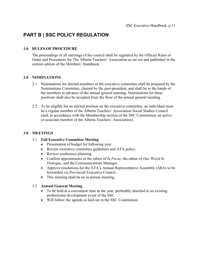## **PART B | SSC POLICY REGULATION**

#### **1.0 RULES OF PROCEDURE**

The proceedings of all meetings of the council shall be regulated by the Official Rules of Order and Procedures for The Alberta Teachers' Association as set out and published in the current edition of the Members' Handbook

#### **2.0 NOMINATIONS**

- 2.1 Nominations for elected members of the executive committee shall be prepared by the Nominations Committee, chaired by the past-president, and shall be in the hands of the members in advance of the annual general meeting. Nominations for these positions shall also be accepted from the floor of the annual general meeting.
- 2.2 To be eligible for an elected position on the executive committee, an individual must be a regular member of the Alberta Teachers' Association Social Studies Council (and, in accordance with the Membership section of the SSC Constitution, an active or associate member of the Alberta Teachers' Association).

#### **3.0 MEETINGS**

#### 3.1 **Fall Executive Committee Meeting**

- Presentation of budget for following year.
- Review executive committee guidelines and ATA policy.
- Review conference planning.
- Confirm appointments of the editor of *In Focus*, the editor of *One World In Dialogue*, and the Communications Manager.
- Approve resolutions for the ATA's Annual Representative Assembly (ARA) to be forwarded via Provincial Executive Council.
- This meeting shall be an in-person meeting.

#### 3.2 **Annual General Meeting**

- To be held at a convenient time in the year, preferably attached to an existing professional development event of the SSC.
- Will follow the agenda as laid out in the SSC Constitution.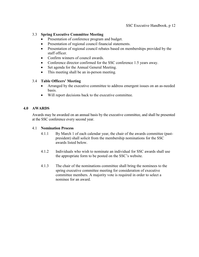#### 3.3 **Spring Executive Committee Meeting**

- Presentation of conference program and budget.
- Presentation of regional council financial statements.
- Presentation of regional council rebates based on memberships provided by the staff officer.
- Confirm winners of council awards.
- Conference director confirmed for the SSC conference 1.5 years away.
- Set agenda for the Annual General Meeting.
- This meeting shall be an in-person meeting.

#### 3.4 **Table Officers' Meeting**

- Arranged by the executive committee to address emergent issues on an as-needed basis.
- Will report decisions back to the executive committee.

#### **4.0 AWARDS**

Awards may be awarded on an annual basis by the executive committee, and shall be presented at the SSC conference every second year.

#### 4.1 **Nomination Process**

- 4.1.1 By March 1 of each calendar year, the chair of the awards committee (pastpresident) shall solicit from the membership nominations for the SSC awards listed below.
- 4.1.2 Individuals who wish to nominate an individual for SSC awards shall use the appropriate form to be posted on the SSC's website.
- 4.1.3 The chair of the nominations committee shall bring the nominees to the spring executive committee meeting for consideration of executive committee members. A majority vote is required in order to select a nominee for an award.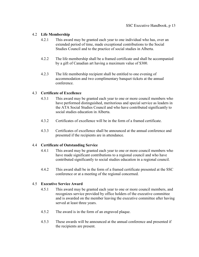#### 4.2 **Life Membership**

- 4.2.1 This award may be granted each year to one individual who has, over an extended period of time, made exceptional contributions to the Social Studies Council and to the practice of social studies in Alberta.
- 4.2.2 The life membership shall be a framed certificate and shall be accompanied by a gift of Canadian art having a maximum value of \$300.
- 4.2.3 The life membership recipient shall be entitled to one evening of accommodation and two complimentary banquet tickets at the annual conference.

#### 4.3 **Certificate of Excellence**

- 4.3.1 This award may be granted each year to one or more council members who have performed distinguished, meritorious and special service as leaders in the ATA Social Studies Council and who have contributed significantly to social studies education in Alberta.
- 4.3.2 Certificates of excellence will be in the form of a framed certificate.
- 4.3.3 Certificates of excellence shall be announced at the annual conference and presented if the recipients are in attendance.

#### 4.4 **Certificate of Outstanding Service**

- 4.4.1 This award may be granted each year to one or more council members who have made significant contributions to a regional council and who have contributed significantly to social studies education in a regional council.
- 4.4.2 This award shall be in the form of a framed certificate presented at the SSC conference or at a meeting of the regional concerned.

#### 4.5 **Executive Service Award**

- 4.5.1 This award may be granted each year to one or more council members, and recognizes service provided by office holders of the executive committee and is awarded on the member leaving the executive committee after having served at least three years.
- 4.5.2 The award is in the form of an engraved plaque.
- 4.5.3 These awards will be announced at the annual conference and presented if the recipients are present.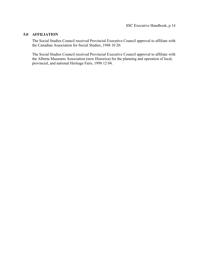#### **5.0 AFFILIATION**

The Social Studies Council received Provincial Executive Council approval to affiliate with the Canadian Association for Social Studies, 1948 10 20.

The Social Studies Council received Provincial Executive Council approval to affiliate with the Alberta Museums Association (now Historica) for the planning and operation of local, provincial, and national Heritage Fairs, 1998 12 04.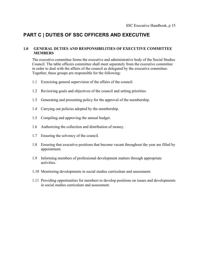## **PART C | DUTIES OF SSC OFFICERS AND EXECUTIVE**

#### **1.0 GENERAL DUTIES AND RESPONSIBILITIES OF EXECUTIVE COMMITTEE MEMBERS**

The executive committee forms the executive and administrative body of the Social Studies Council. The table officers committee shall meet separately from the executive committee in order to deal with the affairs of the council as delegated by the executive committee. Together, these groups are responsible for the following:

- 1.1 Exercising general supervision of the affairs of the council.
- 1.2 Reviewing goals and objectives of the council and setting priorities.
- 1.3 Generating and presenting policy for the approval of the membership.
- 1.4 Carrying out policies adopted by the membership.
- 1.5 Compiling and approving the annual budget.
- 1.6 Authorizing the collection and distribution of money.
- 1.7 Ensuring the solvency of the council.
- 1.8 Ensuring that executive positions that become vacant throughout the year are filled by appointment.
- 1.9 Informing members of professional development matters through appropriate activities.
- 1.10 Monitoring developments in social studies curriculum and assessment.
- 1.11 Providing opportunities for members to develop positions on issues and developments in social studies curriculum and assessment.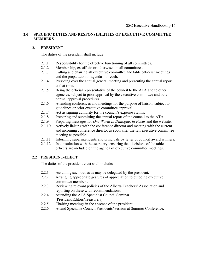#### **2.0 SPECIFIC DUTIES AND RESPONSIBILITIES OF EXECUTIVE COMMITTEE MEMBERS**

#### **2.1 PRESIDENT**

The duties of the president shall include:

- 2.1.1 Responsibility for the effective functioning of all committees.
- 2.1.2 Membership, ex officio or otherwise, on all committees.
- 2.1.3 Calling and chairing all executive committee and table officers' meetings and the preparation of agendas for each.
- 2.1.4 Presiding over the annual general meeting and presenting the annual report at that time.
- 2.1.5 Being the official representative of the council to the ATA and to other agencies, subject to prior approval by the executive committee and other normal approval procedures.
- 2.1.6 Attending conferences and meetings for the purpose of liaison, subject to guidelines or prior executive committee approval.
- 2.1.7 Act as signing authority for the council's expense claims.
- 2.1.8 Preparing and submitting the annual report of the council to the ATA.
- 2.1.9 Preparing messages for *One World In Dialogue*, *In Focus* and the website.
- 2.1.10 Actively liaising with the conference director and meeting with the current and incoming conference director as soon after the fall executive committee meeting as possible.
- 2.1.11 Informing superintendents and principals by letter of council award winners.
- 2.1.12 In consultation with the secretary, ensuring that decisions of the table officers are included on the agenda of executive committee meetings.

#### **2.2 PRESIDENT-ELECT**

The duties of the president-elect shall include:

- 2.2.1 Assuming such duties as may be delegated by the president.
- 2.2.2 Arranging appropriate gestures of appreciation to outgoing executive committee members.
- 2.2.3 Reviewing relevant policies of the Alberta Teachers' Association and reporting on these with recommendations.
- 2.2.4 Attending the ATA Specialist Council Seminar. (President/Editors/Treasurers)
- 2.2.5 Chairing meetings in the absence of the president.
- 2.2.6 Attend Specialist Council Presidents' session at Summer Conference.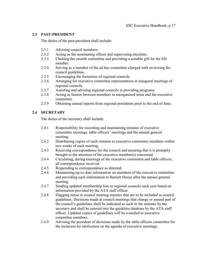#### **2.3 PAST-PRESIDENT**

The duties of the past-president shall include:

- 2.3.1 Advising council members.
- 2.3.2 Acting as the nominating officer and supervising elections.
- 2.3.3 Chairing the awards committee and providing a suitable gift for the life member.
- 2.3.4 Serving as a member of the ad hoc committee charged with reviewing the council guidelines.
- 2.3.5 Encouraging the formation of regional councils.
- 2.3.6 Arranging for executive committee representation at inaugural meetings of regional councils.
- 2.3.7 Assisting and advising regional councils in providing programs.
- 2.3.8 Acting as liaison between members in unorganized areas and the executive committee.
- 2.3.9 Obtaining annual reports from regional presidents prior to the end of June.

#### **2.4 SECRETARY**

The duties of the secretary shall include:

- 2.4.1 Responsibility for recording and maintaining minutes of executive committee meetings, table officers' meetings and the annual general meeting.
- 2.4.2 Distributing copies of such minutes to executive committee members within two weeks of each meeting.
- 2.4.3 Receiving correspondence for the council and ensuring that it is promptly brought to the attention of the executive member(s) concerned.
- 2.4.4 Circulating, during meetings of the executive committee and table officers, all correspondence received.
- 2.4.5 Responding to correspondence as directed.
- 2.4.6 Maintaining up-to-date information on members of the executive committee and providing such information to Barnett House after the annual general meeting.
- 2.4.7 Sending updated membership lists to regional councils each year based on information provided by the ATA staff officer.
- 2.4.8 Flagging items in council meeting minutes that are to be included in council guidelines. Decisions made at council meetings that change or amend part of the council's guidelines shall be indicated as such in the minutes by the secretary and shall be entered into the guideline database by the ATA staff officer. Updated copies of guidelines will be e-mailed to executive committee members.
- 2.4.9 Advising the president of decisions made by the table officers committee for the inclusion for ratification on the agenda of executive meetings.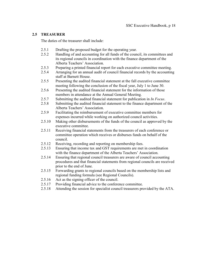#### **2.5 TREASURER**

The duties of the treasurer shall include:

- 2.5.1 Drafting the proposed budget for the operating year.
- 2.5.2 Handling of and accounting for all funds of the council, its committees and its regional councils in coordination with the finance department of the Alberta Teachers' Association.
- 2.5.3 Preparing a printed financial report for each executive committee meeting.
- 2.5.4 Arranging for an annual audit of council financial records by the accounting staff at Barnett House.
- 2.5.5 Presenting the audited financial statement at the fall executive committee meeting following the conclusion of the fiscal year, July 1 to June 30.
- 2.5.6 Presenting the audited financial statement for the information of those members in attendance at the Annual General Meeting.
- 2.5.7 Submitting the audited financial statement for publication in *In Focus*.
- 2.5.8 Submitting the audited financial statement to the finance department of the Alberta Teachers' Association.
- 2.5.9 Facilitating the reimbursement of executive committee members for expenses incurred while working on authorized council activities.
- 2.5.10 Making other disbursements of the funds of the council as approved by the executive committee.
- 2.5.11 Receiving financial statements from the treasurers of each conference or committee operation which receives or disburses funds on behalf of the council.
- 2.5.12 Receiving, recording and reporting on membership fees.
- 2.5.13 Ensuring that income tax and GST requirements are met in coordination with the finance department of the Alberta Teachers' Association.
- 2.5.14 Ensuring that regional council treasurers are aware of council accounting procedures and that financial statements from regional councils are received prior to the end of June.
- 2.5.15 Forwarding grants to regional councils based on the membership lists and regional funding formula (see Regional Councils).
- 2.5.16 Act as the signing officer of the council.
- 2.5.17 Providing financial advice to the conference committee.
- 2.5.18 Attending the session for specialist council treasurers provided by the ATA.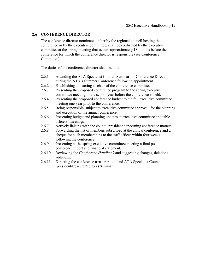#### **2.6 CONFERENCE DIRECTOR**

The conference director nominated either by the regional council hosting the conference or by the executive committee, shall be confirmed by the executive committee at the spring meeting that occurs approximately 18 months before the conference for which the conference director is responsible (see Conference Committee).

The duties of the conference director shall include:

- 2.6.1 Attending the ATA Specialist Council Seminar for Conference Directors during the ATA's Summer Conference following appointment.
- 2.6.2 Establishing and acting as chair of the conference committee.
- 2.6.3 Presenting the proposed conference program to the spring executive committee meeting in the school year before the conference is held.
- 2.6.4 Presenting the proposed conference budget to the fall executive committee meeting one year prior to the conference.
- 2.6.5 Being responsible, subject to executive committee approval, for the planning and execution of the annual conference.
- 2.6.6 Presenting budget and planning updates at executive committee and table officers' meetings.
- 2.6.7 Actively liaising with the council president concerning conference matters.
- 2.6.8 Forwarding the list of members subscribed at the annual conference and a cheque for such memberships to the staff officer within four weeks following the conference.
- 2.6.9 Presenting at the spring executive committee meeting a final postconference report and financial statement.
- 2.6.10 Reviewing the *Conference Handbook* and suggesting changes, deletions additions.
- 2.6.11 Directing the conference treasurer to attend ATA Specialist Council (president/treasurer/editors) Seminar.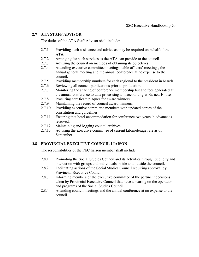#### **2.7 ATA STAFF ADVISOR**

The duties of the ATA Staff Advisor shall include:

- 2.7.1 Providing such assistance and advice as may be required on behalf of the ATA.
- 2.7.2 Arranging for such services as the ATA can provide to the council.
- 2.7.3 Advising the council on methods of obtaining its objectives.
- 2.7.4 Attending executive committee meetings, table officers' meetings, the annual general meeting and the annual conference at no expense to the council.
- 2.7.5 Providing membership numbers for each regional to the president in March.
- 2.7.6 Reviewing all council publications prior to production.
- 2.7.7 Monitoring the sharing of conference membership list and fees generated at the annual conference to data processing and accounting at Barnett House.
- 2.7.8 Procuring certificate plaques for award winners.
- 2.7.9 Maintaining the record of council award winners.
- 2.7.10 Providing executive committee members with updated copies of the constitution and guidelines.
- 2.7.11 Ensuring that hotel accommodation for conference two years in advance is reserved.
- 2.7.12 Maintaining and logging council archives.
- 2.7.13 Advising the executive committee of current kilometerage rate as of September.

#### **2.8 PROVINCIAL EXECUTIVE COUNCIL LIAISON**

The responsibilities of the PEC liaison member shall include:

- 2.8.1 Promoting the Social Studies Council and its activities through publicity and interaction with groups and individuals inside and outside the council.
- 2.8.2 Facilitating actions of the Social Studies Council requiring approval by Provincial Executive Council.
- 2.8.3 Informing members of the executive committee of the pertinent decisions taken by Provincial Executive Council that have a bearing on the operations and programs of the Social Studies Council.
- 2.8.4 Attending council meetings and the annual conference at no expense to the council.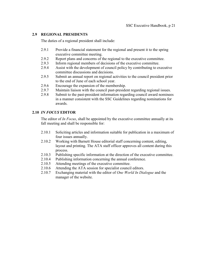#### **2.9 REGIONAL PRESIDENTS**

The duties of a regional president shall include:

- 2.9.1 Provide a financial statement for the regional and present it to the spring executive committee meeting.
- 2.9.2 Report plans and concerns of the regional to the executive committee.
- 2.9.3 Inform regional members of decisions of the executive committee.
- 2.9.4 Assist with the development of council policy by contributing to executive committee discussions and decisions.
- 2.9.5 Submit an annual report on regional activities to the council president prior to the end of June of each school year.
- 2.9.6 Encourage the expansion of the membership.<br>2.9.7 Maintain liaison with the council past-preside
- Maintain liaison with the council past-president regarding regional issues.
- 2.9.8 Submit to the past-president information regarding council award nominees in a manner consistent with the SSC Guidelines regarding nominations for awards.

#### **2.10** *IN FOCUS* **EDITOR**

The editor of *In Focus*, shall be appointed by the executive committee annually at its fall meeting and shall be responsible for:

- 2.10.1 Soliciting articles and information suitable for publication in a maximum of four issues annually.
- 2.10.2 Working with Barnett House editorial staff concerning content, editing, layout and printing. The ATA staff officer approves all content during this process.
- 2.10.3 Publishing specific information at the direction of the executive committee.
- 2.10.4 Publishing information concerning the annual conference.
- 2.10.5 Attending meetings of the executive committee.
- 2.10.6 Attending the ATA session for specialist council editors.
- 2.10.7 Exchanging material with the editor of *One World In Dialogue* and the manager of the website.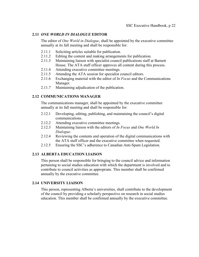#### **2.11** *ONE WORLD IN DIALOGUE* **EDITOR**

The editor of *One World in Dialogue*, shall be appointed by the executive committee annually at its fall meeting and shall be responsible for:

- 2.11.1 Soliciting articles suitable for publication.
- 2.11.2 Editing the content and making arrangements for publication.
- 2.11.3 Maintaining liaison with specialist council publications staff at Barnett House. The ATA staff officer approves all content during this process.
- 2.11.4 Attending executive committee meetings.
- 2.11.5 Attending the ATA session for specialist council editors.
- 2.11.6 Exchanging material with the editor of *In Focus* and the Communications Manager.
- 2.11.7 Maintaining adjudication of the publication.

#### **2.12 COMMUNICATIONS MANAGER**

The communications manager, shall be appointed by the executive committee annually at its fall meeting and shall be responsible for:

- 2.12.1 Developing, editing, publishing, and maintaining the council's digital communications.
- 2.12.2 Attending executive committee meetings.
- 2.12.3 Maintaining liaison with the editors of *In Focus* and *One World In Dialogue*.
- 2.12.4 Reviewing the contents and operation of the digital communications with the ATA staff officer and the executive committee when requested.
- 2.12.5 Ensuring the SSC's adherence to Canadian Anti-Spam Legislation.

#### **2.13 ALBERTA EDUCATION LIAISON**

This person shall be responsible for bringing to the council advice and information pertaining to social studies education with which the department is involved and to contribute to council activities as appropriate. This member shall be confirmed annually by the executive committee.

#### **2.14 UNIVERSITY LIAISON**

This person, representing Alberta's universities, shall contribute to the development of the council by providing a scholarly perspective on research in social studies education. This member shall be confirmed annually by the executive committee.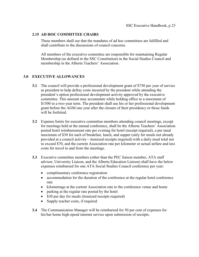#### **2.15 AD HOC COMMITTEE CHAIRS**

These members shall see that the mandates of ad hoc committees are fulfilled and shall contribute to the discussions of council concerns.

All members of the executive committee are responsible for maintaining Regular Membership (as defined in the SSC Constitution) in the Social Studies Council and membership in the Alberta Teachers' Association.

#### **3.0 EXECUTIVE ALLOWANCES**

- **3.1** The council will provide a professional development grant of \$750 per year of service as president to help defray costs incurred by the president while attending the president's option professional development activity approved by the executive committee. This amount may accumulate while holding office to a maximum of \$1500 in a two-year term. The president shall use his or her professional development grant before the AGM one year after the closure of their presidency or those funds will be forfeited.
- **3.2** Expense limits for executive committee members attending council meetings, except for meetings held at the annual conference, shall be the Alberta Teachers' Association posted hotel reimbursement rate per evening for hotel (receipt required), a per meal maximum of \$30 for each of breakfast, lunch, and supper (only for meals not already provided at a council activity—itemized receipts required) with a daily meal total not to exceed \$70, and the current Association rate per kilometer or actual airfare and taxi costs for travel to and from the meetings.
- **3.3** Executive committee members (other than the PEC liaison member, ATA staff advisor, University Liaison, and the Alberta Education Liaison) shall have the below expenses reimbursed for one ATA Social Studies Council conference per year:
	- complimentary conference registration
	- accommodation for the duration of the conference at the regular hotel conference rate
	- kilometrage at the current Association rate to the conference venue and home
	- parking at the regular rate posted by the hotel
	- \$30 per day for meals (itemized receipts required)
	- Supply teacher costs, if required
- **3.4** The Communication Manager will be reimbursed for 50 per cent of expenses for his/her home high-speed internet service upon submission of receipts.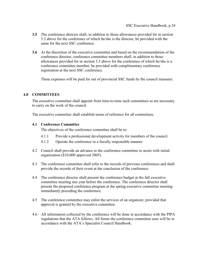- **3.5** The conference director shall, in addition to those allowances provided for in section 3.3 above for the conference of which he/she is the director, be provided with the same for the next SSC conference.
- **3.6** At the discretion of the executive committee and based on the recommendation of the conference director, conference committee members shall, in addition to those allowances provided for in section 3.3 above for the conference of which he/she is a conference committee member, be provided with complimentary conference registration at the next SSC conference.

These expenses will be paid for out of provincial SSC funds by the council treasurer.

#### **4.0 COMMITTEES**

The executive committee shall appoint from time-to-time such committees as are necessary to carry on the work of the council.

The executive committee shall establish terms of reference for all committees.

#### **4.1 Conference Committee**

The objectives of the conference committee shall be to:

- 4.1.1 Provide a professional development activity for members of the council.
- 4.1.2 Operate the conference in a fiscally responsible manner.
- 4.2 Council shall provide an advance to the conference committee to assist with initial organization (\$10,000 approved 2005).
- 4.3 The conference committee shall refer to the records of previous conferences and shall provide the records of their event at the conclusion of the conference.
- 4.4 The conference director shall present the conference budget at the fall executive committee meeting one year before the conference. The conference director shall present the proposed conference program at the spring executive committee meeting immediately preceding the conference.
- 4.5 The conference committee may enlist the services of an organizer, provided that approval is granted by the executive committee.
- 4.6 All information collected by the conference will be done in accordance with the PIPA regulations that the ATA follows. All forms the conference committee uses will be in accordance with the ATA's Specialist Council Handbook.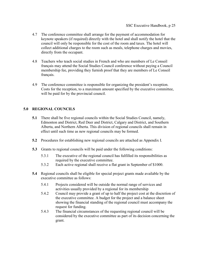- 4.7 The conference committee shall arrange for the payment of accommodation for keynote speakers (if required) directly with the hotel and shall notify the hotel that the council will only be responsible for the cost of the room and taxes. The hotel will collect additional charges to the room such as meals, telephone charges and movies, directly from the occupant.
- 4.8 Teachers who teach social studies in French and who are members of Le Conseil français may attend the Social Studies Council conference without paying a Council membership fee, providing they furnish proof that they are members of Le Conseil français.
- 4.9 The conference committee is responsible for organizing the president's reception. Costs for the reception, to a maximum amount specified by the executive committee, will be paid for by the provincial council.

#### **5.0 REGIONAL COUNCILS**

- **5.1** There shall be five regional councils within the Social Studies Council, namely, Edmonton and District, Red Deer and District, Calgary and District, and Southern Alberta, and Northern Alberta. This division of regional councils shall remain in effect until such time as new regional councils may be formed.
- **5.2** Procedures for establishing new regional councils are attached as Appendix I.
- **5.3** Grants to regional councils will be paid under the following conditions:
	- 5.3.1 The executive of the regional council has fulfilled its responsibilities as required by the executive committee.
	- 5.3.2 Each active regional shall receive a flat grant in September of \$1000.
- **5.4** Regional councils shall be eligible for special project grants made available by the executive committee as follows:
	- 5.4.1 Projects considered will be outside the normal range of services and activities usually provided by a regional for its membership
	- 5.4.2 Council may provide a grant of up to half the project cost at the discretion of the executive committee. A budget for the project and a balance sheet showing the financial standing of the regional council must accompany the request for funding.
	- 5.4.3 The financial circumstances of the requesting regional council will be considered by the executive committee as part of its decision concerning the grant.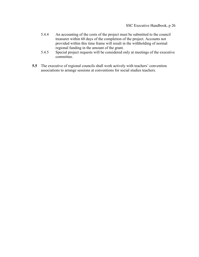- 5.4.4 An accounting of the costs of the project must be submitted to the council treasurer within 60 days of the completion of the project. Accounts not provided within this time frame will result in the withholding of normal regional funding in the amount of the grant.
- 5.4.5 Special project requests will be considered only at meetings of the executive committee.
- **5.5** The executive of regional councils shall work actively with teachers' convention associations to arrange sessions at conventions for social studies teachers.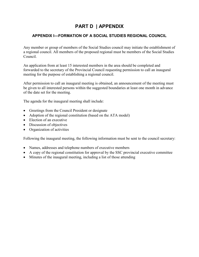## **PART D | APPENDIX**

#### **APPENDIX I—FORMATION OF A SOCIAL STUDIES REGIONAL COUNCIL**

Any member or group of members of the Social Studies council may initiate the establishment of a regional council. All members of the proposed regional must be members of the Social Studies Council.

An application from at least 15 interested members in the area should be completed and forwarded to the secretary of the Provincial Council requesting permission to call an inaugural meeting for the purpose of establishing a regional council.

After permission to call an inaugural meeting is obtained, an announcement of the meeting must be given to all interested persons within the suggested boundaries at least one month in advance of the date set for the meeting.

The agenda for the inaugural meeting shall include:

- Greetings from the Council President or designate
- Adoption of the regional constitution (based on the ATA model)
- Election of an executive
- Discussion of objectives
- Organization of activities

Following the inaugural meeting, the following information must be sent to the council secretary:

- Names, addresses and telephone numbers of executive members
- A copy of the regional constitution for approval by the SSC provincial executive committee
- Minutes of the inaugural meeting, including a list of those attending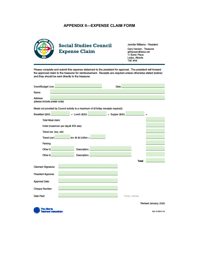#### **APPENDIX II-EXPENSE CLAIM FORM**



## **Social Studies Council Expense Claim**

Jennifer Williams - President

Gary Hansen - Treasurer gbhansen@telus.net 11 Bonin Place Leduc, Alberta **T9E 6H6** 

Please complete and submit this expense statement to the president for approval. The president will forward the approved claim to the treasurer for reimbursement. Receipts are required unless otherwise stated (below) and they should be sent directly to the treasurer.

|                                                                                                                                                                                                                                |                                                                                      |                                                                                                                                                                                                                                      | Date <b>Date Contract Contract of the Contract Of the Contract Of the Contract Of the Contract Of the Contract Of the Contract Of the Contract Of the Contract Of the Contract Of the Contract Of the Contract Of the Contract</b> |                       |
|--------------------------------------------------------------------------------------------------------------------------------------------------------------------------------------------------------------------------------|--------------------------------------------------------------------------------------|--------------------------------------------------------------------------------------------------------------------------------------------------------------------------------------------------------------------------------------|------------------------------------------------------------------------------------------------------------------------------------------------------------------------------------------------------------------------------------|-----------------------|
| Name:                                                                                                                                                                                                                          |                                                                                      |                                                                                                                                                                                                                                      |                                                                                                                                                                                                                                    |                       |
| Address:<br>(please include postal code)                                                                                                                                                                                       |                                                                                      |                                                                                                                                                                                                                                      |                                                                                                                                                                                                                                    |                       |
|                                                                                                                                                                                                                                | Meals not provided by Council activity to a maximum of \$70/day (receipts required): |                                                                                                                                                                                                                                      |                                                                                                                                                                                                                                    |                       |
|                                                                                                                                                                                                                                | Breakfast (\$30) _____________ + Lunch (\$30) __________ + Supper (\$30) _________   |                                                                                                                                                                                                                                      |                                                                                                                                                                                                                                    |                       |
| <b>Total Meal claim:</b>                                                                                                                                                                                                       |                                                                                      |                                                                                                                                                                                                                                      |                                                                                                                                                                                                                                    |                       |
|                                                                                                                                                                                                                                | Hotel (maximum per day @ ATA rate)                                                   |                                                                                                                                                                                                                                      |                                                                                                                                                                                                                                    |                       |
| Travel (air, bus, rail)                                                                                                                                                                                                        |                                                                                      |                                                                                                                                                                                                                                      |                                                                                                                                                                                                                                    |                       |
|                                                                                                                                                                                                                                | Travel (car) $\frac{1}{2}$ km @ \$0.53/km = $\frac{1}{2}$                            |                                                                                                                                                                                                                                      |                                                                                                                                                                                                                                    |                       |
| Parking                                                                                                                                                                                                                        |                                                                                      |                                                                                                                                                                                                                                      |                                                                                                                                                                                                                                    |                       |
| Other \$ 2000 million                                                                                                                                                                                                          |                                                                                      | Description: <b>Contract Contract Contract Contract Contract Contract Contract Contract Contract Contract Contract Contract Contract Contract Contract Contract Contract Contract Contract Contract Contract Contract Contract C</b> |                                                                                                                                                                                                                                    |                       |
| Other's the contract of the contract of the contract of the contract of the contract of the contract of the contract of the contract of the contract of the contract of the contract of the contract of the contract of the co |                                                                                      | Description: New York Contract Contract Contract Contract Contract Contract Contract Contract Contract Contract Contract Contract Contract Contract Contract Contract Contract Contract Contract Contract Contract Contract Co       |                                                                                                                                                                                                                                    |                       |
|                                                                                                                                                                                                                                |                                                                                      |                                                                                                                                                                                                                                      | <b>Total</b>                                                                                                                                                                                                                       |                       |
| <b>Claimant Signature:</b>                                                                                                                                                                                                     |                                                                                      |                                                                                                                                                                                                                                      |                                                                                                                                                                                                                                    |                       |
| President Approval:                                                                                                                                                                                                            |                                                                                      |                                                                                                                                                                                                                                      |                                                                                                                                                                                                                                    |                       |
| <b>Approval Date:</b>                                                                                                                                                                                                          |                                                                                      |                                                                                                                                                                                                                                      |                                                                                                                                                                                                                                    |                       |
| Cheque Number:                                                                                                                                                                                                                 |                                                                                      |                                                                                                                                                                                                                                      |                                                                                                                                                                                                                                    |                       |
| Date Paid:                                                                                                                                                                                                                     |                                                                                      |                                                                                                                                                                                                                                      | <b>Treas, Initials</b>                                                                                                                                                                                                             |                       |
|                                                                                                                                                                                                                                |                                                                                      |                                                                                                                                                                                                                                      |                                                                                                                                                                                                                                    | Revised January, 2022 |
| The Alberta<br><b>Teachers' Association</b>                                                                                                                                                                                    |                                                                                      |                                                                                                                                                                                                                                      |                                                                                                                                                                                                                                    | SSC-12 2022 01 05     |